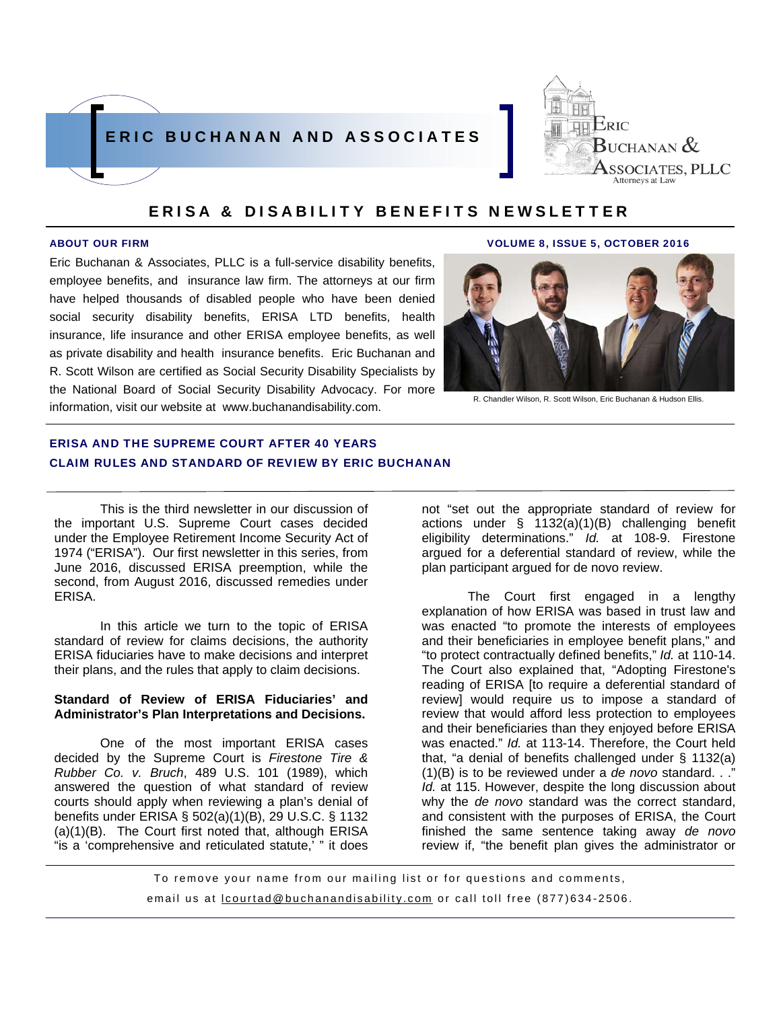



Eric Buchanan & Associates, PLLC is a full-service disability benefits, employee benefits, and insurance law firm. The attorneys at our firm have helped thousands of disabled people who have been denied social security disability benefits, ERISA LTD benefits, health insurance, life insurance and other ERISA employee benefits, as well as private disability and health insurance benefits. Eric Buchanan and R. Scott Wilson are certified as Social Security Disability Specialists by the National Board of Social Security Disability Advocacy. For more information, visit our website at www.buchanandisability.com.

#### ABOUT OUR FIRM VOLUME 8, ISSUE 5, OCTOBER 2016



R. Chandler Wilson, R. Scott Wilson, Eric Buchanan & Hudson Ellis.

# ERISA AND THE SUPREME COURT AFTER 40 YEARS CLAIM RULES AND STANDARD OF REVIEW BY ERIC BUCHANAN

This is the third newsletter in our discussion of the important U.S. Supreme Court cases decided under the Employee Retirement Income Security Act of 1974 ("ERISA"). Our first newsletter in this series, from June 2016, discussed ERISA preemption, while the second, from August 2016, discussed remedies under ERISA.

In this article we turn to the topic of ERISA standard of review for claims decisions, the authority ERISA fiduciaries have to make decisions and interpret their plans, and the rules that apply to claim decisions.

#### **Standard of Review of ERISA Fiduciaries' and Administrator's Plan Interpretations and Decisions.**

 One of the most important ERISA cases decided by the Supreme Court is *Firestone Tire & Rubber Co. v. Bruch*, 489 U.S. 101 (1989), which answered the question of what standard of review courts should apply when reviewing a plan's denial of benefits under ERISA § 502(a)(1)(B), 29 U.S.C. § 1132 (a)(1)(B). The Court first noted that, although ERISA "is a 'comprehensive and reticulated statute,' " it does

not "set out the appropriate standard of review for actions under § 1132(a)(1)(B) challenging benefit eligibility determinations." *Id.* at 108-9. Firestone argued for a deferential standard of review, while the plan participant argued for de novo review.

 The Court first engaged in a lengthy explanation of how ERISA was based in trust law and was enacted "to promote the interests of employees and their beneficiaries in employee benefit plans," and "to protect contractually defined benefits," *Id.* at 110-14. The Court also explained that, "Adopting Firestone's reading of ERISA [to require a deferential standard of review] would require us to impose a standard of review that would afford less protection to employees and their beneficiaries than they enjoyed before ERISA was enacted." *Id.* at 113-14. Therefore, the Court held that, "a denial of benefits challenged under § 1132(a) (1)(B) is to be reviewed under a *de novo* standard. . ." *Id.* at 115. However, despite the long discussion about why the *de novo* standard was the correct standard, and consistent with the purposes of ERISA, the Court finished the same sentence taking away *de novo* review if, "the benefit plan gives the administrator or

To remove your name from our mailing list or for questions and comments, email us at **lcourtad@buchanandisability.com** or call toll free (877)634-2506.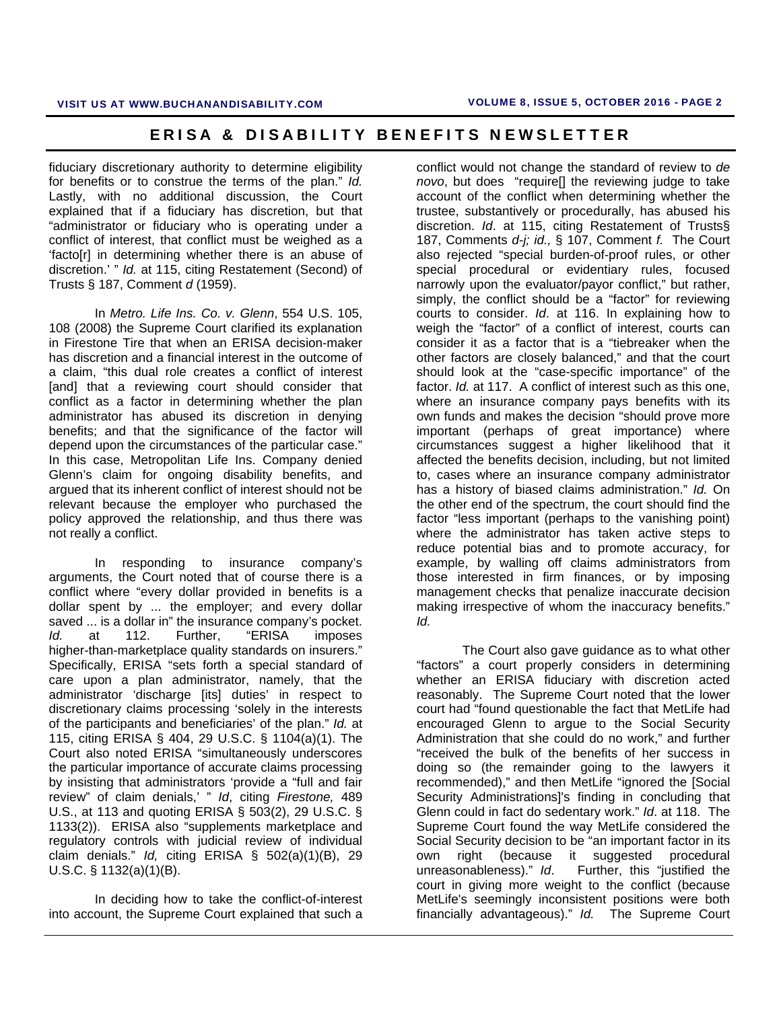fiduciary discretionary authority to determine eligibility for benefits or to construe the terms of the plan." *Id.* Lastly, with no additional discussion, the Court explained that if a fiduciary has discretion, but that "administrator or fiduciary who is operating under a conflict of interest, that conflict must be weighed as a 'facto[r] in determining whether there is an abuse of discretion.' " *Id.* at 115, citing Restatement (Second) of Trusts § 187, Comment *d* (1959).

In *Metro. Life Ins. Co. v. Glenn*, 554 U.S. 105, 108 (2008) the Supreme Court clarified its explanation in Firestone Tire that when an ERISA decision-maker has discretion and a financial interest in the outcome of a claim, "this dual role creates a conflict of interest [and] that a reviewing court should consider that conflict as a factor in determining whether the plan administrator has abused its discretion in denying benefits; and that the significance of the factor will depend upon the circumstances of the particular case." In this case, Metropolitan Life Ins. Company denied Glenn's claim for ongoing disability benefits, and argued that its inherent conflict of interest should not be relevant because the employer who purchased the policy approved the relationship, and thus there was not really a conflict.

In responding to insurance company's arguments, the Court noted that of course there is a conflict where "every dollar provided in benefits is a dollar spent by ... the employer; and every dollar saved ... is a dollar in" the insurance company's pocket. *Id.* at 112. Further, "ERISA imposes higher-than-marketplace quality standards on insurers." Specifically, ERISA "sets forth a special standard of care upon a plan administrator, namely, that the administrator 'discharge [its] duties' in respect to discretionary claims processing 'solely in the interests of the participants and beneficiaries' of the plan." *Id.* at 115, citing ERISA § 404, 29 U.S.C. § 1104(a)(1). The Court also noted ERISA "simultaneously underscores the particular importance of accurate claims processing by insisting that administrators 'provide a "full and fair review" of claim denials,' " *Id*, citing *Firestone,* 489 U.S., at 113 and quoting ERISA § 503(2), 29 U.S.C. § 1133(2)). ERISA also "supplements marketplace and regulatory controls with judicial review of individual claim denials." *Id,* citing ERISA § 502(a)(1)(B), 29 U.S.C. § 1132(a)(1)(B).

 In deciding how to take the conflict-of-interest into account, the Supreme Court explained that such a

conflict would not change the standard of review to *de novo*, but does "require[] the reviewing judge to take account of the conflict when determining whether the trustee, substantively or procedurally, has abused his discretion. *Id*. at 115, citing Restatement of Trusts§ 187, Comments *d*-*j; id.,* § 107, Comment *f.* The Court also rejected "special burden-of-proof rules, or other special procedural or evidentiary rules, focused narrowly upon the evaluator/payor conflict," but rather, simply, the conflict should be a "factor" for reviewing courts to consider. *Id*. at 116. In explaining how to weigh the "factor" of a conflict of interest, courts can consider it as a factor that is a "tiebreaker when the other factors are closely balanced," and that the court should look at the "case-specific importance" of the factor. *Id.* at 117. A conflict of interest such as this one, where an insurance company pays benefits with its own funds and makes the decision "should prove more important (perhaps of great importance) where circumstances suggest a higher likelihood that it affected the benefits decision, including, but not limited to, cases where an insurance company administrator has a history of biased claims administration." *Id.* On the other end of the spectrum, the court should find the factor "less important (perhaps to the vanishing point) where the administrator has taken active steps to reduce potential bias and to promote accuracy, for example, by walling off claims administrators from those interested in firm finances, or by imposing management checks that penalize inaccurate decision making irrespective of whom the inaccuracy benefits." *Id.* 

 The Court also gave guidance as to what other "factors" a court properly considers in determining whether an ERISA fiduciary with discretion acted reasonably. The Supreme Court noted that the lower court had "found questionable the fact that MetLife had encouraged Glenn to argue to the Social Security Administration that she could do no work," and further "received the bulk of the benefits of her success in doing so (the remainder going to the lawyers it recommended)," and then MetLife "ignored the [Social Security Administrations]'s finding in concluding that Glenn could in fact do sedentary work." *Id*. at 118. The Supreme Court found the way MetLife considered the Social Security decision to be "an important factor in its own right (because it suggested procedural unreasonableness)." *Id*. Further, this "justified the court in giving more weight to the conflict (because MetLife's seemingly inconsistent positions were both financially advantageous)." *Id.* The Supreme Court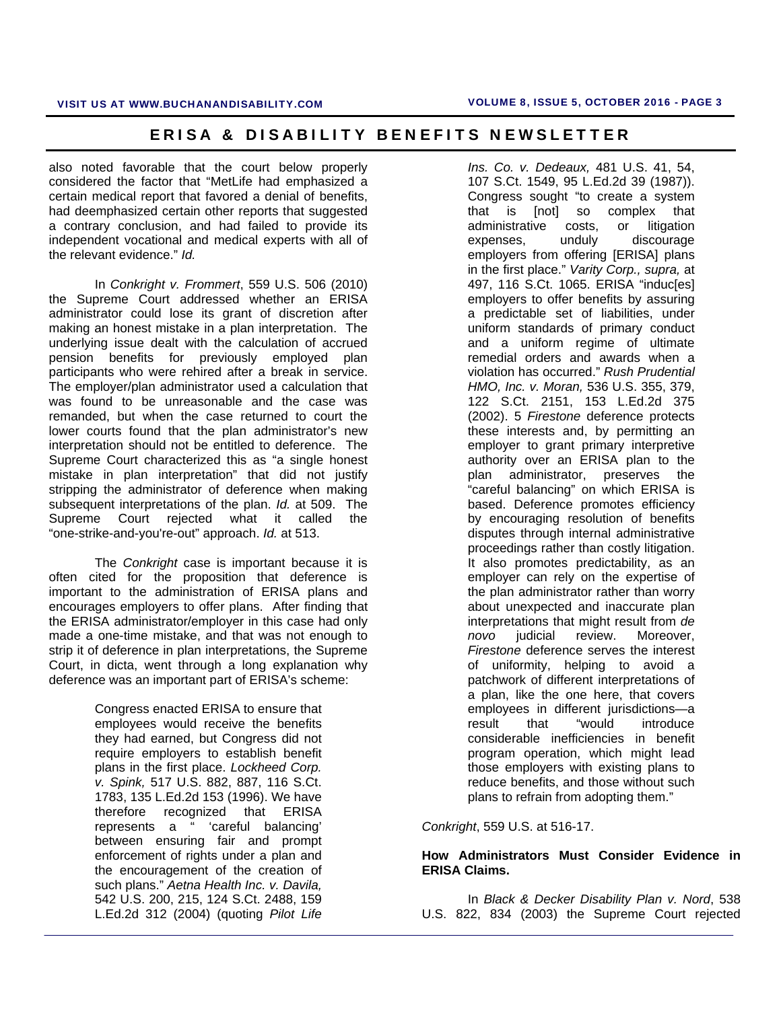also noted favorable that the court below properly considered the factor that "MetLife had emphasized a certain medical report that favored a denial of benefits, had deemphasized certain other reports that suggested a contrary conclusion, and had failed to provide its independent vocational and medical experts with all of the relevant evidence." *Id.*

 In *Conkright v. Frommert*, 559 U.S. 506 (2010) the Supreme Court addressed whether an ERISA administrator could lose its grant of discretion after making an honest mistake in a plan interpretation. The underlying issue dealt with the calculation of accrued pension benefits for previously employed plan participants who were rehired after a break in service. The employer/plan administrator used a calculation that was found to be unreasonable and the case was remanded, but when the case returned to court the lower courts found that the plan administrator's new interpretation should not be entitled to deference. The Supreme Court characterized this as "a single honest mistake in plan interpretation" that did not justify stripping the administrator of deference when making subsequent interpretations of the plan. *Id.* at 509. The Supreme Court rejected what it called the "one-strike-and-you're-out" approach. *Id.* at 513.

The *Conkright* case is important because it is often cited for the proposition that deference is important to the administration of ERISA plans and encourages employers to offer plans. After finding that the ERISA administrator/employer in this case had only made a one-time mistake, and that was not enough to strip it of deference in plan interpretations, the Supreme Court, in dicta, went through a long explanation why deference was an important part of ERISA's scheme:

> Congress enacted ERISA to ensure that employees would receive the benefits they had earned, but Congress did not require employers to establish benefit plans in the first place. *Lockheed Corp. v. Spink,* 517 U.S. 882, 887, 116 S.Ct. 1783, 135 L.Ed.2d 153 (1996). We have therefore recognized that ERISA represents a " 'careful balancing' between ensuring fair and prompt enforcement of rights under a plan and the encouragement of the creation of such plans." *Aetna Health Inc. v. Davila,* 542 U.S. 200, 215, 124 S.Ct. 2488, 159 L.Ed.2d 312 (2004) (quoting *Pilot Life*

*Ins. Co. v. Dedeaux,* 481 U.S. 41, 54, 107 S.Ct. 1549, 95 L.Ed.2d 39 (1987)). Congress sought "to create a system that is [not] so complex that administrative costs, or litigation expenses, unduly discourage employers from offering [ERISA] plans in the first place." *Varity Corp., supra,* at 497, 116 S.Ct. 1065. ERISA "induc[es] employers to offer benefits by assuring a predictable set of liabilities, under uniform standards of primary conduct and a uniform regime of ultimate remedial orders and awards when a violation has occurred." *Rush Prudential HMO, Inc. v. Moran,* 536 U.S. 355, 379, 122 S.Ct. 2151, 153 L.Ed.2d 375 (2002). 5 *Firestone* deference protects these interests and, by permitting an employer to grant primary interpretive authority over an ERISA plan to the plan administrator, preserves the "careful balancing" on which ERISA is based. Deference promotes efficiency by encouraging resolution of benefits disputes through internal administrative proceedings rather than costly litigation. It also promotes predictability, as an employer can rely on the expertise of the plan administrator rather than worry about unexpected and inaccurate plan interpretations that might result from *de novo* judicial review. Moreover, *Firestone* deference serves the interest of uniformity, helping to avoid a patchwork of different interpretations of a plan, like the one here, that covers employees in different jurisdictions—a result that "would introduce considerable inefficiencies in benefit program operation, which might lead those employers with existing plans to reduce benefits, and those without such plans to refrain from adopting them."

*Conkright*, 559 U.S. at 516-17.

### **How Administrators Must Consider Evidence in ERISA Claims.**

In *Black & Decker Disability Plan v. Nord*, 538 U.S. 822, 834 (2003) the Supreme Court rejected